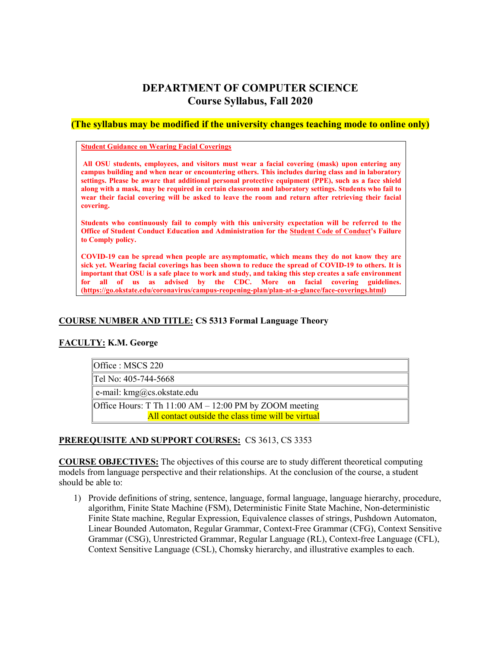# **DEPARTMENT OF COMPUTER SCIENCE Course Syllabus, Fall 2020**

# **(The syllabus may be modified if the university changes teaching mode to online only)**

### **Student Guidance on Wearing Facial Coverings**

**All OSU students, employees, and visitors must wear a facial covering (mask) upon entering any campus building and when near or encountering others. This includes during class and in laboratory settings. Please be aware that additional personal protective equipment (PPE), such as a face shield along with a mask, may be required in certain classroom and laboratory settings. Students who fail to wear their facial covering will be asked to leave the room and return after retrieving their facial covering.**

**Students who continuously fail to comply with this university expectation will be referred to the Office of Student Conduct Education and Administration for the [Student Code of Conduct'](https://studentconduct.okstate.edu/code)s Failure to Comply policy.** 

**COVID-19 can be spread when people are asymptomatic, which means they do not know they are sick yet. Wearing facial coverings has been shown to reduce the spread of COVID-19 to others. It is important that OSU is a safe place to work and study, and taking this step creates a safe environment for all of us as advised by the CDC. More on facial covering guidelines. [\(https://go.okstate.edu/coronavirus/campus-reopening-plan/plan-at-a-glance/face-coverings.html\)](https://go.okstate.edu/coronavirus/campus-reopening-plan/plan-at-a-glance/face-coverings.html)** 

# **COURSE NUMBER AND TITLE: CS 5313 Formal Language Theory**

# **FACULTY: K.M. George**

| $\textsf{IOffice}: \textsf{MSCS}\ 220$                     |  |  |
|------------------------------------------------------------|--|--|
| Tel No: 405-744-5668                                       |  |  |
| e-mail: $\text{kmg}(a)$ cs.okstate.edu                     |  |  |
| Office Hours: T Th $11:00$ AM $- 12:00$ PM by ZOOM meeting |  |  |
| All contact outside the class time will be virtual         |  |  |

# **PREREQUISITE AND SUPPORT COURSES:** CS 3613, CS 3353

**COURSE OBJECTIVES:** The objectives of this course are to study different theoretical computing models from language perspective and their relationships. At the conclusion of the course, a student should be able to:

1) Provide definitions of string, sentence, language, formal language, language hierarchy, procedure, algorithm, Finite State Machine (FSM), Deterministic Finite State Machine, Non-deterministic Finite State machine, Regular Expression, Equivalence classes of strings, Pushdown Automaton, Linear Bounded Automaton, Regular Grammar, Context-Free Grammar (CFG), Context Sensitive Grammar (CSG), Unrestricted Grammar, Regular Language (RL), Context-free Language (CFL), Context Sensitive Language (CSL), Chomsky hierarchy, and illustrative examples to each.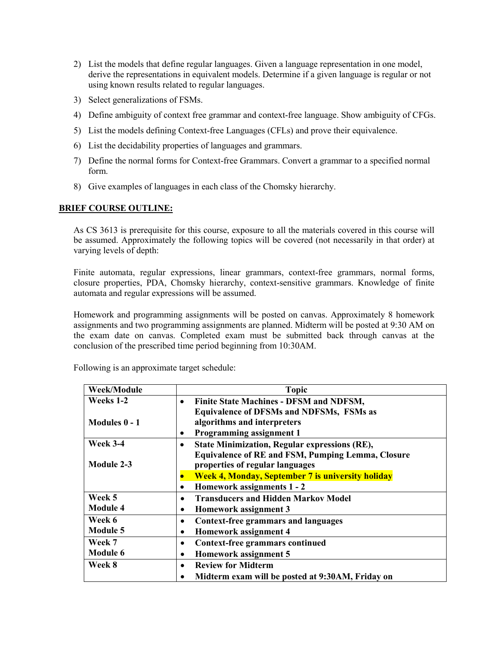- 2) List the models that define regular languages. Given a language representation in one model, derive the representations in equivalent models. Determine if a given language is regular or not using known results related to regular languages.
- 3) Select generalizations of FSMs.
- 4) Define ambiguity of context free grammar and context-free language. Show ambiguity of CFGs.
- 5) List the models defining Context-free Languages (CFLs) and prove their equivalence.
- 6) List the decidability properties of languages and grammars.
- 7) Define the normal forms for Context-free Grammars. Convert a grammar to a specified normal form.
- 8) Give examples of languages in each class of the Chomsky hierarchy.

# **BRIEF COURSE OUTLINE:**

As CS 3613 is prerequisite for this course, exposure to all the materials covered in this course will be assumed. Approximately the following topics will be covered (not necessarily in that order) at varying levels of depth:

Finite automata, regular expressions, linear grammars, context-free grammars, normal forms, closure properties, PDA, Chomsky hierarchy, context-sensitive grammars. Knowledge of finite automata and regular expressions will be assumed.

Homework and programming assignments will be posted on canvas. Approximately 8 homework assignments and two programming assignments are planned. Midterm will be posted at 9:30 AM on the exam date on canvas. Completed exam must be submitted back through canvas at the conclusion of the prescribed time period beginning from 10:30AM.

| Week/Module     | <b>Topic</b>                                                |
|-----------------|-------------------------------------------------------------|
| Weeks 1-2       | <b>Finite State Machines - DFSM and NDFSM,</b><br>$\bullet$ |
|                 | <b>Equivalence of DFSMs and NDFSMs, FSMs as</b>             |
| Modules 0 - 1   | algorithms and interpreters                                 |
|                 | <b>Programming assignment 1</b><br>$\bullet$                |
| <b>Week 3-4</b> | <b>State Minimization, Regular expressions (RE),</b>        |
|                 | <b>Equivalence of RE and FSM, Pumping Lemma, Closure</b>    |
| Module 2-3      | properties of regular languages                             |
|                 | <b>Week 4, Monday, September 7 is university holiday</b>    |
|                 | Homework assignments 1 - 2<br>٠                             |
| Week 5          | <b>Transducers and Hidden Markov Model</b><br>$\bullet$     |
| <b>Module 4</b> | Homework assignment 3<br>$\bullet$                          |
| Week 6          | <b>Context-free grammars and languages</b><br>$\bullet$     |
| <b>Module 5</b> | Homework assignment 4<br>$\bullet$                          |
| Week 7          | <b>Context-free grammars continued</b><br>$\bullet$         |
| <b>Module 6</b> | Homework assignment 5<br>٠                                  |
| Week 8          | <b>Review for Midterm</b><br>$\bullet$                      |
|                 | Midterm exam will be posted at 9:30AM, Friday on<br>٠       |

Following is an approximate target schedule: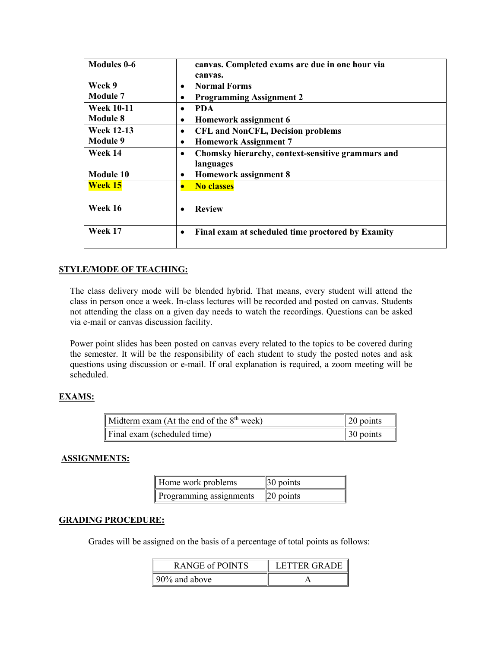| <b>Modules 0-6</b> | canvas. Completed exams are due in one hour via        |
|--------------------|--------------------------------------------------------|
|                    | canvas.                                                |
| Week 9             | <b>Normal Forms</b><br>٠                               |
| <b>Module 7</b>    | <b>Programming Assignment 2</b><br>٠                   |
| <b>Week 10-11</b>  | <b>PDA</b><br>$\bullet$                                |
| Module 8           | Homework assignment 6<br>٠                             |
| <b>Week 12-13</b>  | <b>CFL and NonCFL, Decision problems</b><br>$\bullet$  |
| <b>Module 9</b>    | <b>Homework Assignment 7</b><br>٠                      |
| Week 14            | Chomsky hierarchy, context-sensitive grammars and<br>٠ |
|                    | languages                                              |
| Module 10          | <b>Homework assignment 8</b><br>٠                      |
| <b>Week 15</b>     | <b>No classes</b>                                      |
|                    |                                                        |
| Week 16            | <b>Review</b>                                          |
|                    |                                                        |
| Week 17            | Final exam at scheduled time proctored by Examity<br>٠ |
|                    |                                                        |

# **STYLE/MODE OF TEACHING:**

The class delivery mode will be blended hybrid. That means, every student will attend the class in person once a week. In-class lectures will be recorded and posted on canvas. Students not attending the class on a given day needs to watch the recordings. Questions can be asked via e-mail or canvas discussion facility.

Power point slides has been posted on canvas every related to the topics to be covered during the semester. It will be the responsibility of each student to study the posted notes and ask questions using discussion or e-mail. If oral explanation is required, a zoom meeting will be scheduled.

# **EXAMS:**

| Midterm exam (At the end of the $8th$ week) | $\parallel$ 20 points |
|---------------------------------------------|-----------------------|
| $\parallel$ Final exam (scheduled time)     | $\parallel$ 30 points |

# **ASSIGNMENTS:**

| Home work problems      | $\parallel$ 30 points |
|-------------------------|-----------------------|
| Programming assignments | $\ 20\ $ points       |

# **GRADING PROCEDURE:**

Grades will be assigned on the basis of a percentage of total points as follows:

| RANGE of POINTS | LETTER GRADE |
|-----------------|--------------|
| 90% and above   |              |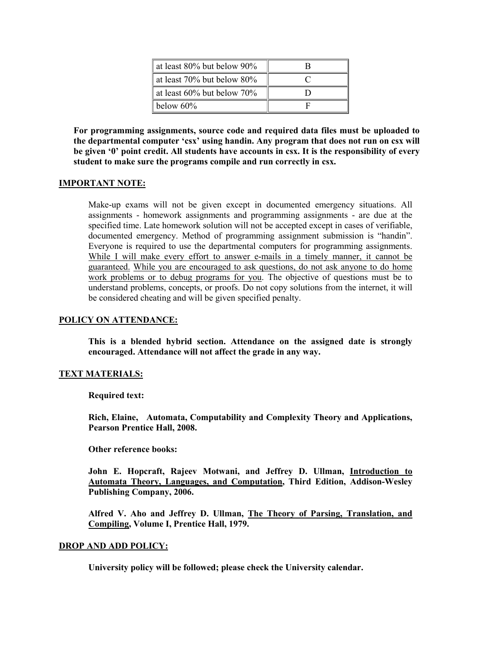| at least 80% but below 90%       |  |
|----------------------------------|--|
| at least 70% but below 80%       |  |
| at least $60\%$ but below $70\%$ |  |
| below $60\%$                     |  |

**For programming assignments, source code and required data files must be uploaded to the departmental computer 'csx' using handin. Any program that does not run on csx will be given '0' point credit. All students have accounts in csx. It is the responsibility of every student to make sure the programs compile and run correctly in csx.**

# **IMPORTANT NOTE:**

Make-up exams will not be given except in documented emergency situations. All assignments - homework assignments and programming assignments - are due at the specified time. Late homework solution will not be accepted except in cases of verifiable, documented emergency. Method of programming assignment submission is "handin". Everyone is required to use the departmental computers for programming assignments. While I will make every effort to answer e-mails in a timely manner, it cannot be guaranteed. While you are encouraged to ask questions, do not ask anyone to do home work problems or to debug programs for you. The objective of questions must be to understand problems, concepts, or proofs. Do not copy solutions from the internet, it will be considered cheating and will be given specified penalty.

# **POLICY ON ATTENDANCE:**

**This is a blended hybrid section. Attendance on the assigned date is strongly encouraged. Attendance will not affect the grade in any way.**

# **TEXT MATERIALS:**

**Required text:**

**Rich, Elaine, Automata, Computability and Complexity Theory and Applications, Pearson Prentice Hall, 2008.**

**Other reference books:**

**John E. Hopcraft, Rajeev Motwani, and Jeffrey D. Ullman, Introduction to Automata Theory, Languages, and Computation, Third Edition, Addison-Wesley Publishing Company, 2006.**

**Alfred V. Aho and Jeffrey D. Ullman, The Theory of Parsing, Translation, and Compiling, Volume I, Prentice Hall, 1979.**

# **DROP AND ADD POLICY:**

**University policy will be followed; please check the University calendar.**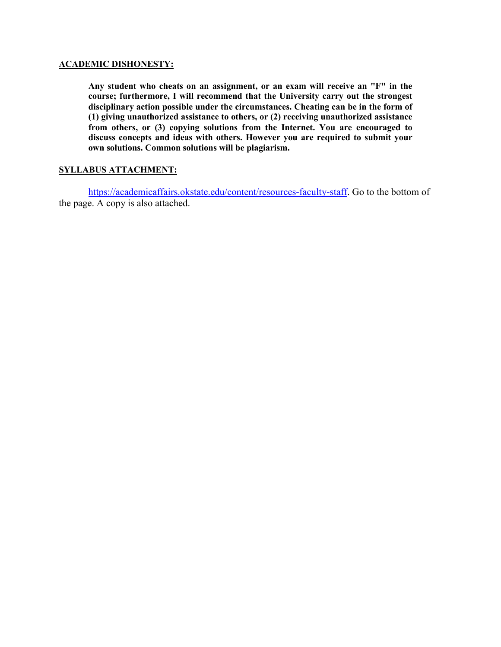# **ACADEMIC DISHONESTY:**

**Any student who cheats on an assignment, or an exam will receive an "F" in the course; furthermore, I will recommend that the University carry out the strongest disciplinary action possible under the circumstances. Cheating can be in the form of (1) giving unauthorized assistance to others, or (2) receiving unauthorized assistance from others, or (3) copying solutions from the Internet. You are encouraged to discuss concepts and ideas with others. However you are required to submit your own solutions. Common solutions will be plagiarism.**

# **SYLLABUS ATTACHMENT:**

[https://academicaffairs.okstate.edu/content/resources-faculty-staff.](https://academicaffairs.okstate.edu/content/resources-faculty-staff) Go to the bottom of the page. A copy is also attached.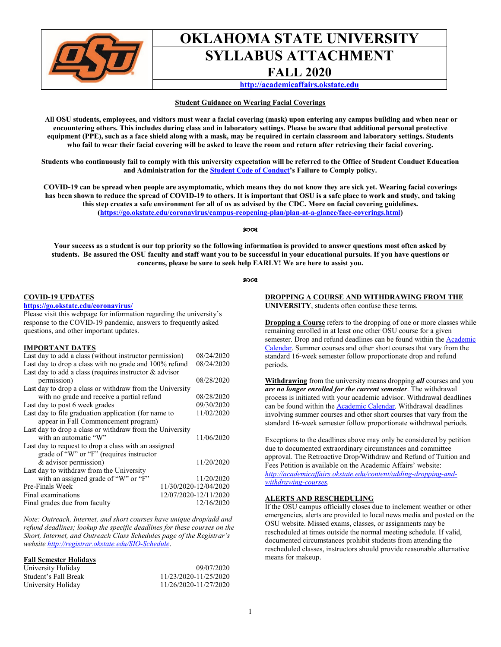

# **OKLAHOMA STATE UNIVERSITY SYLLABUS ATTACHMENT**

# **FALL 2020**

**[http://academicaffairs.okstate.edu](http://academicaffairs.okstate.edu/)**

#### **Student Guidance on Wearing Facial Coverings**

**All OSU students, employees, and visitors must wear a facial covering (mask) upon entering any campus building and when near or encountering others. This includes during class and in laboratory settings. Please be aware that additional personal protective equipment (PPE), such as a face shield along with a mask, may be required in certain classroom and laboratory settings. Students who fail to wear their facial covering will be asked to leave the room and return after retrieving their facial covering.**

**Students who continuously fail to comply with this university expectation will be referred to the Office of Student Conduct Education and Administration for the [Student Code of Conduct'](https://studentconduct.okstate.edu/code)s Failure to Comply policy.** 

**COVID-19 can be spread when people are asymptomatic, which means they do not know they are sick yet. Wearing facial coverings has been shown to reduce the spread of COVID-19 to others. It is important that OSU is a safe place to work and study, and taking this step creates a safe environment for all of us as advised by the CDC. More on facial covering guidelines. [\(https://go.okstate.edu/coronavirus/campus-reopening-plan/plan-at-a-glance/face-coverings.html\)](https://go.okstate.edu/coronavirus/campus-reopening-plan/plan-at-a-glance/face-coverings.html)** 

#### ନ୍ଦ୍ରତଃ

**Your success as a student is our top priority so the following information is provided to answer questions most often asked by students. Be assured the OSU faculty and staff want you to be successful in your educational pursuits. If you have questions or concerns, please be sure to seek help EARLY! We are here to assist you.** 

#### $90C$

#### **COVID-19 UPDATES**

# **<https://go.okstate.edu/coronavirus/>**

Please visit this webpage for information regarding the university's response to the COVID-19 pandemic, answers to frequently asked questions, and other important updates.

#### **IMPORTANT DATES**

| Last day to add a class (without instructor permission)   |                       | 08/24/2020 |
|-----------------------------------------------------------|-----------------------|------------|
| Last day to drop a class with no grade and 100% refund    |                       | 08/24/2020 |
| Last day to add a class (requires instructor $\&$ advisor |                       |            |
| permission)                                               |                       | 08/28/2020 |
| Last day to drop a class or withdraw from the University  |                       |            |
| with no grade and receive a partial refund                |                       | 08/28/2020 |
| Last day to post 6 week grades                            |                       | 09/30/2020 |
| Last day to file graduation application (for name to      |                       | 11/02/2020 |
| appear in Fall Commencement program)                      |                       |            |
| Last day to drop a class or withdraw from the University  |                       |            |
| with an automatic "W"                                     |                       | 11/06/2020 |
| Last day to request to drop a class with an assigned      |                       |            |
| grade of "W" or "F" (requires instructor                  |                       |            |
| & advisor permission)                                     |                       | 11/20/2020 |
| Last day to withdraw from the University                  |                       |            |
| with an assigned grade of "W" or "F"                      |                       | 11/20/2020 |
| Pre-Finals Week                                           | 11/30/2020-12/04/2020 |            |
| Final examinations                                        | 12/07/2020-12/11/2020 |            |
| Final grades due from faculty                             |                       | 12/16/2020 |

*Note: Outreach, Internet, and short courses have unique drop/add and refund deadlines; lookup the specific deadlines for these courses on the Short, Internet, and Outreach Class Schedules page of the Registrar's website <http://registrar.okstate.edu/SIO-Schedule>*.

#### **Fall Semester Holidays**

| University Holiday   | 09/07/2020            |
|----------------------|-----------------------|
| Student's Fall Break | 11/23/2020-11/25/2020 |
| University Holiday   | 11/26/2020-11/27/2020 |

# **DROPPING A COURSE AND WITHDRAWING FROM THE UNIVERSITY**, students often confuse these terms.

**Dropping a Course** refers to the dropping of one or more classes while remaining enrolled in at least one other OSU course for a given semester. Drop and refund deadlines can be found within th[e Academic](https://registrar.okstate.edu/academic_calendar/)  [Calendar.](https://registrar.okstate.edu/academic_calendar/) Summer courses and other short courses that vary from the standard 16-week semester follow proportionate drop and refund periods.

**Withdrawing** from the university means dropping *all* courses and you *are no longer enrolled for the current semester*. The withdrawal process is initiated with your academic advisor. Withdrawal deadlines can be found within the **Academic Calendar**. Withdrawal deadlines involving summer courses and other short courses that vary from the standard 16-week semester follow proportionate withdrawal periods.

Exceptions to the deadlines above may only be considered by petition due to documented extraordinary circumstances and committee approval. The Retroactive Drop/Withdraw and Refund of Tuition and Fees Petition is available on the Academic Affairs' website: *[http://academicaffairs.okstate.edu/content/adding-dropping-and](http://academicaffairs.okstate.edu/content/adding-dropping-and-withdrawing-courses)[withdrawing-courses.](http://academicaffairs.okstate.edu/content/adding-dropping-and-withdrawing-courses)*

#### **ALERTS AND RESCHEDULING**

If the OSU campus officially closes due to inclement weather or other emergencies, alerts are provided to local news media and posted on the OSU website. Missed exams, classes, or assignments may be rescheduled at times outside the normal meeting schedule. If valid, documented circumstances prohibit students from attending the rescheduled classes, instructors should provide reasonable alternative means for makeup.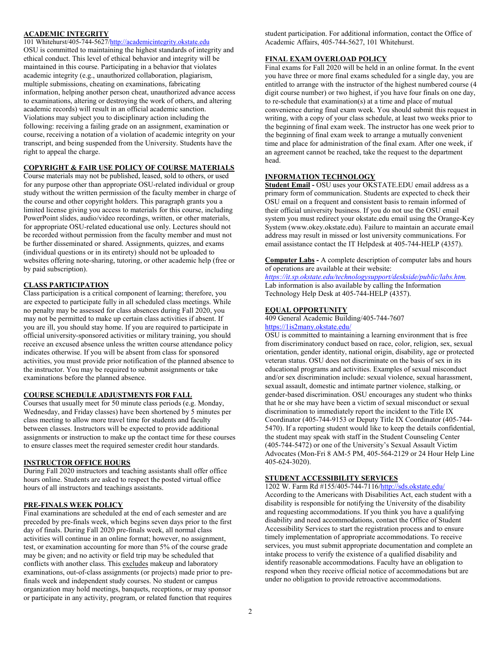# **[ACADEMIC INTEGRITY](http://academicintegrity.okstate.edu/)**

101 Whitehurst/405-744-562[7/http://academicintegrity.okstate.edu](http://academicintegrity.okstate.edu/) OSU is committed to maintaining the highest standards of integrity and ethical conduct. This level of ethical behavior and integrity will be maintained in this course. Participating in a behavior that violates academic integrity (e.g., unauthorized collaboration, plagiarism, multiple submissions, cheating on examinations, fabricating

information, helping another person cheat, unauthorized advance access to examinations, altering or destroying the work of others, and altering academic records) will result in an official academic sanction. Violations may subject you to disciplinary action including the following: receiving a failing grade on an assignment, examination or course, receiving a notation of a violation of academic integrity on your transcript, and being suspended from the University. Students have the right to appeal the charge.

### **COPYRIGHT & FAIR USE POLICY OF COURSE MATERIALS**

Course materials may not be published, leased, sold to others, or used for any purpose other than appropriate OSU-related individual or group study without the written permission of the faculty member in charge of the course and other copyright holders. This paragraph grants you a limited license giving you access to materials for this course, including PowerPoint slides, audio/video recordings, written, or other materials, for appropriate OSU-related educational use only. Lectures should not be recorded without permission from the faculty member and must not be further disseminated or shared. Assignments, quizzes, and exams (individual questions or in its entirety) should not be uploaded to websites offering note-sharing, tutoring, or other academic help (free or by paid subscription).

### **CLASS PARTICIPATION**

Class participation is a critical component of learning; therefore, you are expected to participate fully in all scheduled class meetings. While no penalty may be assessed for class absences during Fall 2020, you may not be permitted to make up certain class activities if absent. If you are ill, you should stay home. If you are required to participate in official university-sponsored activities or military training, you should receive an excused absence unless the written course attendance policy indicates otherwise. If you will be absent from class for sponsored activities, you must provide prior notification of the planned absence to the instructor. You may be required to submit assignments or take examinations before the planned absence.

### **COURSE SCHEDULE ADJUSTMENTS FOR FALL**

Courses that usually meet for 50 minute class periods (e.g. Monday, Wednesday, and Friday classes) have been shortened by 5 minutes per class meeting to allow more travel time for students and faculty between classes. Instructors will be expected to provide additional assignments or instruction to make up the contact time for these courses to ensure classes meet the required semester credit hour standards.

### **INSTRUCTOR OFFICE HOURS**

During Fall 2020 instructors and teaching assistants shall offer office hours online. Students are asked to respect the posted virtual office hours of all instructors and teachings assistants.

# **PRE-FINALS WEEK POLICY**

Final examinations are scheduled at the end of each semester and are preceded by pre-finals week, which begins seven days prior to the first day of finals. During Fall 2020 pre-finals week, all normal class activities will continue in an online format; however, no assignment, test, or examination accounting for more than 5% of the course grade may be given; and no activity or field trip may be scheduled that conflicts with another class. This excludes makeup and laboratory examinations, out-of-class assignments (or projects) made prior to prefinals week and independent study courses. No student or campus organization may hold meetings, banquets, receptions, or may sponsor or participate in any activity, program, or related function that requires

student participation. For additional information, contact the Office of Academic Affairs, 405-744-5627, 101 Whitehurst.

### **FINAL EXAM OVERLOAD POLICY**

Final exams for Fall 2020 will be held in an online format. In the event you have three or more final exams scheduled for a single day, you are entitled to arrange with the instructor of the highest numbered course (4 digit course number) or two highest, if you have four finals on one day, to re-schedule that examination(s) at a time and place of mutual convenience during final exam week. You should submit this request in writing, with a copy of your class schedule, at least two weeks prior to the beginning of final exam week. The instructor has one week prior to the beginning of final exam week to arrange a mutually convenient time and place for administration of the final exam. After one week, if an agreement cannot be reached, take the request to the department head.

# **INFORMATION TECHNOLOGY**

**Student Email -** OSU uses your OKSTATE.EDU email address as a primary form of communication. Students are expected to check their OSU email on a frequent and consistent basis to remain informed of their official university business. If you do not use the OSU email system you must redirect your okstate.edu email using the Orange-Key System (www.okey.okstate.edu). Failure to maintain an accurate email address may result in missed or lost university communications. For email assistance contact the IT Helpdesk at 405-744-HELP (4357).

**Computer Labs -** A complete description of computer labs and hours of operations are available at their website:

*https://it.sp.okstate.edu/technologysupport/deskside/public/labs.htm.* Lab information is also available by calling the Information Technology Help Desk at 405-744-HELP (4357).

### **EQUAL OPPORTUNITY**

409 General Academic Building/405-744-7607 <https://1is2many.okstate.edu/>

OSU is committed to maintaining a learning environment that is free from discriminatory conduct based on race, color, religion, sex, sexual orientation, gender identity, national origin, disability, age or protected veteran status. OSU does not discriminate on the basis of sex in its educational programs and activities. Examples of sexual misconduct and/or sex discrimination include: sexual violence, sexual harassment, sexual assault, domestic and intimate partner violence, stalking, or gender-based discrimination. OSU encourages any student who thinks that he or she may have been a victim of sexual misconduct or sexual discrimination to immediately report the incident to the Title IX Coordinator (405-744-9153 or Deputy Title IX Coordinator (405-744- 5470). If a reporting student would like to keep the details confidential, the student may speak with staff in the Student Counseling Center (405-744-5472) or one of the University's Sexual Assault Victim Advocates (Mon-Fri 8 AM-5 PM, 405-564-2129 or 24 Hour Help Line 405-624-3020).

### **STUDENT ACCESSIBILITY SERVICES**

1202 W. Farm Rd #155/405-744-7116[/http://sds.okstate.edu/](http://sds.okstate.edu/) According to the Americans with Disabilities Act, each student with a disability is responsible for notifying the University of the disability and requesting accommodations. If you think you have a qualifying disability and need accommodations, contact the Office of Student Accessibility Services to start the registration process and to ensure timely implementation of appropriate accommodations. To receive services, you must submit appropriate documentation and complete an intake process to verify the existence of a qualified disability and identify reasonable accommodations. Faculty have an obligation to respond when they receive official notice of accommodations but are under no obligation to provide retroactive accommodations.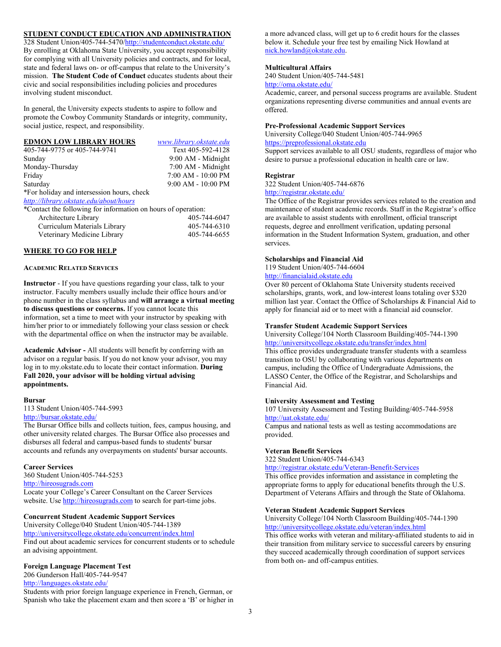# **STUDENT CONDUCT EDUCATION AND ADMINISTRATION**

328 Student Union/405-744-5470[/http://studentconduct.okstate.edu/](http://studentconduct.okstate.edu/) By enrolling at Oklahoma State University, you accept responsibility for complying with all University policies and contracts, and for local, state and federal laws on- or off-campus that relate to the University's mission. **The Student Code of Conduct** educates students about their civic and social responsibilities including policies and procedures involving student misconduct.

In general, the University expects students to aspire to follow and promote the Cowboy Community Standards or integrity, community, social justice, respect, and responsibility.

| <b>EDMON LOW LIBRARY HOURS</b>                                | www.library.okstate.edu |
|---------------------------------------------------------------|-------------------------|
| 405-744-9775 or 405-744-9741                                  | Text 405-592-4128       |
| Sunday                                                        | 9:00 AM - Midnight      |
| Monday-Thursday                                               | 7:00 AM - Midnight      |
| Friday                                                        | 7:00 AM - 10:00 PM      |
| Saturday                                                      | 9:00 AM - 10:00 PM      |
| *For holiday and intersession hours, check                    |                         |
| http://library.okstate.edu/about/hours                        |                         |
| *Contact the following for information on hours of operation: |                         |
| Angleitagtung Library                                         | AOC. 7AA. 60A7          |

| Architecture Library         | 405-744-6047 |
|------------------------------|--------------|
| Curriculum Materials Library | 405-744-6310 |
| Veterinary Medicine Library  | 405-744-6655 |

#### **WHERE TO GO FOR HELP**

#### **ACADEMIC RELATED SERVICES**

**Instructor** - If you have questions regarding your class, talk to your instructor. Faculty members usually include their office hours and/or phone number in the class syllabus and **will arrange a virtual meeting to discuss questions or concerns.** If you cannot locate this information, set a time to meet with your instructor by speaking with him/her prior to or immediately following your class session or check with the departmental office on when the instructor may be available.

**Academic Advisor -** All students will benefit by conferring with an advisor on a regular basis. If you do not know your advisor, you may log in to my.okstate.edu to locate their contact information. **During Fall 2020, your advisor will be holding virtual advising appointments.**

#### **Bursar**

113 Student Union/405-744-5993 <http://bursar.okstate.edu/>

The Bursar Office bills and collects tuition, fees, campus housing, and other university related charges. The Bursar Office also processes and disburses all federal and campus-based funds to students' bursar

accounts and refunds any overpayments on students' bursar accounts.

### **Career Services**

360 Student Union/405-744-5253 [http://hireosugrads.com](http://hireosugrads.com/) Locate your College's Career Consultant on the Career Services website. Use [http://hireosugrads.com](http://hireosugrads.com/) to search for part-time jobs.

#### **Concurrent Student Academic Support Services**

University College/040 Student Union/405-744-1389 <http://universitycollege.okstate.edu/concurrent/index.html> Find out about academic services for concurrent students or to schedule an advising appointment.

#### **Foreign Language Placement Test**

206 Gunderson Hall/405-744-9547

#### <http://languages.okstate.edu/>

Students with prior foreign language experience in French, German, or Spanish who take the placement exam and then score a 'B' or higher in

a more advanced class, will get up to 6 credit hours for the classes below it. Schedule your free test by emailing Nick Howland at [nick.howland@okstate.edu.](mailto:nick.howland@okstate.edu)

#### **Multicultural Affairs**

240 Student Union/405-744-5481 <http://oma.okstate.edu/>

Academic, career, and personal success programs are available. Student organizations representing diverse communities and annual events are offered.

### **Pre-Professional Academic Support Services**

University College/040 Student Union/405-744-9965 [https://preprofessional.okstate.edu](https://preprofessional.okstate.edu/)

Support services available to all OSU students, regardless of major who desire to pursue a professional education in health care or law.

#### **Registrar**

322 Student Union/405-744-6876

<http://registrar.okstate.edu/>

The Office of the Registrar provides services related to the creation and maintenance of student academic records. Staff in the Registrar's office are available to assist students with enrollment, official transcript requests, degree and enrollment verification, updating personal information in the Student Information System, graduation, and other services.

#### **Scholarships and Financial Aid**

119 Student Union/405-744-6604

[http://financialaid.okstate.edu](http://financialaid.okstate.edu/)

Over 80 percent of Oklahoma State University students received scholarships, grants, work, and low-interest loans totaling over \$320 million last year. Contact the Office of Scholarships & Financial Aid to apply for financial aid or to meet with a financial aid counselor.

#### **Transfer Student Academic Support Services**

University College/104 North Classroom Building/405-744-1390 <http://universitycollege.okstate.edu/transfer/index.html>

This office provides undergraduate transfer students with a seamless transition to OSU by collaborating with various departments on campus, including the Office of Undergraduate Admissions, the LASSO Center, the Office of the Registrar, and Scholarships and Financial Aid.

#### **University Assessment and Testing**

107 University Assessment and Testing Building/405-744-5958 <http://uat.okstate.edu/>

Campus and national tests as well as testing accommodations are provided.

#### **Veteran Benefit Services**

322 Student Union/405-744-6343

<http://registrar.okstate.edu/Veteran-Benefit-Services>

This office provides information and assistance in completing the appropriate forms to apply for educational benefits through the U.S. Department of Veterans Affairs and through the State of Oklahoma.

# **Veteran Student Academic Support Services**

University College/104 North Classroom Building/405-744-1390 <http://universitycollege.okstate.edu/veteran/index.html>

This office works with veteran and military-affiliated students to aid in their transition from military service to successful careers by ensuring they succeed academically through coordination of support services from both on- and off-campus entities.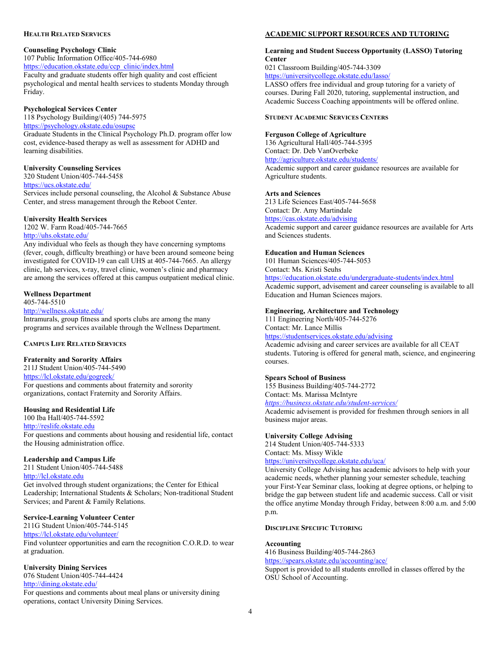#### **HEALTH RELATED SERVICES**

# **Counseling Psychology Clinic**

107 Public Information Office/405-744-6980

https://education.okstate.edu/ccp\_clinic/index.html Faculty and graduate students offer high quality and cost efficient psychological and mental health services to students Monday through Friday.

# **Psychological Services Center**

118 Psychology Building/(405) 744-5975

<https://psychology.okstate.edu/osupsc>

Graduate Students in the Clinical Psychology Ph.D. program offer low cost, evidence-based therapy as well as assessment for ADHD and learning disabilities.

# **University Counseling Services**

320 Student Union/405-744-5458 https://ucs.okstate.edu/

Services include personal counseling, the Alcohol & Substance Abuse Center, and stress management through the Reboot Center.

# **University Health Services**

1202 W. Farm Road/405-744-7665 <http://uhs.okstate.edu/>

Any individual who feels as though they have concerning symptoms (fever, cough, difficulty breathing) or have been around someone being investigated for COVID-19 can call UHS at 405-744-7665. An allergy clinic, lab services, x-ray, travel clinic, women's clinic and pharmacy are among the services offered at this campus outpatient medical clinic.

# **Wellness Department**

405-744-5510

# <http://wellness.okstate.edu/>

Intramurals, group fitness and sports clubs are among the many programs and services available through the Wellness Department.

# **CAMPUS LIFE RELATED SERVICES**

# **Fraternity and Sorority Affairs**

211J Student Union/405-744-5490 <https://lcl.okstate.edu/gogreek/> For questions and comments about fraternity and sorority organizations, contact Fraternity and Sorority Affairs.

# **Housing and Residential Life**

100 Iba Hall/405-744-5592 [http://reslife.okstate.edu](http://reslife.okstate.edu/) For questions and comments about housing and residential life, contact the Housing administration office.

# **Leadership and Campus Life**

211 Student Union/405-744-5488 [http://lcl.okstate.edu](http://lcl.okstate.edu/)

Get involved through student organizations; the Center for Ethical Leadership; International Students & Scholars; Non-traditional Student Services; and Parent & Family Relations.

# **Service-Learning Volunteer Center**

211G Student Union/405-744-5145 <https://lcl.okstate.edu/volunteer/> Find volunteer opportunities and earn the recognition C.O.R.D. to wear

# at graduation.

# **University Dining Services**

076 Student Union/405-744-4424 <http://dining.okstate.edu/>

For questions and comments about meal plans or university dining operations, contact University Dining Services.

# **ACADEMIC SUPPORT RESOURCES AND TUTORING**

# **Learning and Student Success Opportunity (LASSO) Tutoring Center**

021 Classroom Building/405-744-3309

<https://universitycollege.okstate.edu/lasso/>

LASSO offers free individual and group tutoring for a variety of courses. During Fall 2020, tutoring, supplemental instruction, and Academic Success Coaching appointments will be offered online.

# **STUDENT ACADEMIC SERVICES CENTERS**

# **Ferguson College of Agriculture**

136 Agricultural Hall/405-744-5395 Contact: Dr. Deb VanOverbeke <http://agriculture.okstate.edu/students/>

Academic support and career guidance resources are available for Agriculture students.

### **Arts and Sciences**

213 Life Sciences East/405-744-5658 Contact: Dr. Amy Martindale <https://cas.okstate.edu/advising>

Academic support and career guidance resources are available for Arts and Sciences students.

### **Education and Human Sciences**

101 Human Sciences/405-744-5053 Contact: Ms. Kristi Seuhs

[https://education.okstate.edu/undergraduate-students/index.html](https://nam04.safelinks.protection.outlook.com/?url=https%3A%2F%2Fmigrate-education-v2.okstate.edu%2Fundergraduate-students%2Findex.html&data=02%7C01%7Ccandace.thrasher%40okstate.edu%7C0eb4ba5803e248b8c8a608d8118274f0%7C2a69c91de8494e34a230cdf8b27e1964%7C0%7C0%7C637278599286070938&sdata=XZFjQO5wOVtmDGvvmlxr%2FAZZUhH4VCpE45MZGt7FFuk%3D&reserved=0) Academic support, advisement and career counseling is available to all Education and Human Sciences majors.

# **Engineering, Architecture and Technology**

111 Engineering North/405-744-5276

Contact: Mr. Lance Millis

<https://studentservices.okstate.edu/advising>

Academic advising and career services are available for all CEAT students. Tutoring is offered for general math, science, and engineering courses.

### **Spears School of Business**

155 Business Building/405-744-2772 Contact: Ms. Marissa McIntyre *<https://business.okstate.edu/student-services/>*

Academic advisement is provided for freshmen through seniors in all business major areas.

### **University College Advising**

214 Student Union/405-744-5333 Contact: Ms. Missy Wikle <https://universitycollege.okstate.edu/uca/>

University College Advising has academic advisors to help with your academic needs, whether planning your semester schedule, teaching your First-Year Seminar class, looking at degree options, or helping to bridge the gap between student life and academic success. Call or visit the office anytime Monday through Friday, between 8:00 a.m. and 5:00 p.m.

#### **DISCIPLINE SPECIFIC TUTORING**

### **Accounting**

416 Business Building/405-744-2863 <https://spears.okstate.edu/accounting/ace/> Support is provided to all students enrolled in classes offered by the OSU School of Accounting.